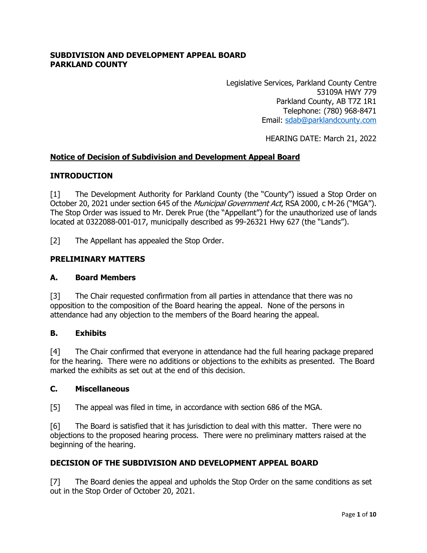### **SUBDIVISION AND DEVELOPMENT APPEAL BOARD PARKLAND COUNTY**

Legislative Services, Parkland County Centre 53109A HWY 779 Parkland County, AB T7Z 1R1 Telephone: (780) 968-8471 Email: [sdab@parklandcounty.com](mailto:sdab@parklandcounty.com) 

HEARING DATE: March 21, 2022

### **Notice of Decision of Subdivision and Development Appeal Board**

### **INTRODUCTION**

[1] The Development Authority for Parkland County (the "County") issued a Stop Order on October 20, 2021 under section 645 of the Municipal Government Act, RSA 2000, c M-26 ("MGA"). The Stop Order was issued to Mr. Derek Prue (the "Appellant") for the unauthorized use of lands located at 0322088-001-017, municipally described as 99-26321 Hwy 627 (the "Lands").

[2] The Appellant has appealed the Stop Order.

#### **PRELIMINARY MATTERS**

#### **A. Board Members**

[3] The Chair requested confirmation from all parties in attendance that there was no opposition to the composition of the Board hearing the appeal. None of the persons in attendance had any objection to the members of the Board hearing the appeal.

#### **B. Exhibits**

[4] The Chair confirmed that everyone in attendance had the full hearing package prepared for the hearing. There were no additions or objections to the exhibits as presented. The Board marked the exhibits as set out at the end of this decision.

#### **C. Miscellaneous**

[5] The appeal was filed in time, in accordance with section 686 of the MGA.

[6] The Board is satisfied that it has jurisdiction to deal with this matter. There were no objections to the proposed hearing process. There were no preliminary matters raised at the beginning of the hearing.

### **DECISION OF THE SUBDIVISION AND DEVELOPMENT APPEAL BOARD**

[7] The Board denies the appeal and upholds the Stop Order on the same conditions as set out in the Stop Order of October 20, 2021.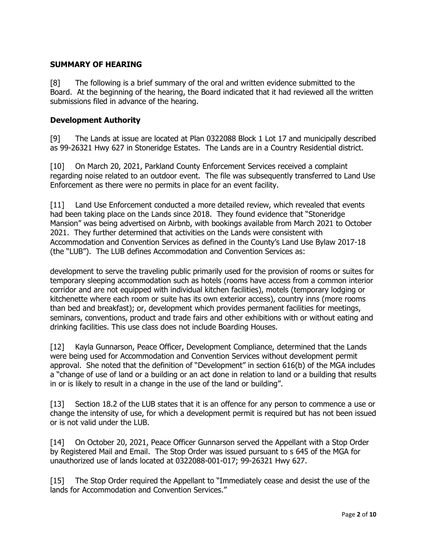# **SUMMARY OF HEARING**

[8] The following is a brief summary of the oral and written evidence submitted to the Board. At the beginning of the hearing, the Board indicated that it had reviewed all the written submissions filed in advance of the hearing.

### **Development Authority**

[9] The Lands at issue are located at Plan 0322088 Block 1 Lot 17 and municipally described as 99-26321 Hwy 627 in Stoneridge Estates. The Lands are in a Country Residential district.

[10] On March 20, 2021, Parkland County Enforcement Services received a complaint regarding noise related to an outdoor event. The file was subsequently transferred to Land Use Enforcement as there were no permits in place for an event facility.

[11] Land Use Enforcement conducted a more detailed review, which revealed that events had been taking place on the Lands since 2018. They found evidence that "Stoneridge Mansion" was being advertised on Airbnb, with bookings available from March 2021 to October 2021. They further determined that activities on the Lands were consistent with Accommodation and Convention Services as defined in the County's Land Use Bylaw 2017-18 (the "LUB"). The LUB defines Accommodation and Convention Services as:

development to serve the traveling public primarily used for the provision of rooms or suites for temporary sleeping accommodation such as hotels (rooms have access from a common interior corridor and are not equipped with individual kitchen facilities), motels (temporary lodging or kitchenette where each room or suite has its own exterior access), country inns (more rooms than bed and breakfast); or, development which provides permanent facilities for meetings, seminars, conventions, product and trade fairs and other exhibitions with or without eating and drinking facilities. This use class does not include Boarding Houses.

[12] Kayla Gunnarson, Peace Officer, Development Compliance, determined that the Lands were being used for Accommodation and Convention Services without development permit approval. She noted that the definition of "Development" in section 616(b) of the MGA includes a "change of use of land or a building or an act done in relation to land or a building that results in or is likely to result in a change in the use of the land or building".

[13] Section 18.2 of the LUB states that it is an offence for any person to commence a use or change the intensity of use, for which a development permit is required but has not been issued or is not valid under the LUB.

[14] On October 20, 2021, Peace Officer Gunnarson served the Appellant with a Stop Order by Registered Mail and Email. The Stop Order was issued pursuant to s 645 of the MGA for unauthorized use of lands located at 0322088-001-017; 99-26321 Hwy 627.

[15] The Stop Order required the Appellant to "Immediately cease and desist the use of the lands for Accommodation and Convention Services."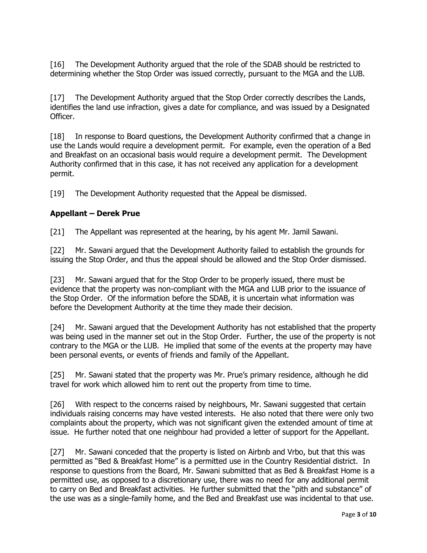[16] The Development Authority argued that the role of the SDAB should be restricted to determining whether the Stop Order was issued correctly, pursuant to the MGA and the LUB.

[17] The Development Authority argued that the Stop Order correctly describes the Lands, identifies the land use infraction, gives a date for compliance, and was issued by a Designated Officer.

[18] In response to Board questions, the Development Authority confirmed that a change in use the Lands would require a development permit. For example, even the operation of a Bed and Breakfast on an occasional basis would require a development permit. The Development Authority confirmed that in this case, it has not received any application for a development permit.

[19] The Development Authority requested that the Appeal be dismissed.

## **Appellant – Derek Prue**

[21] The Appellant was represented at the hearing, by his agent Mr. Jamil Sawani.

[22] Mr. Sawani argued that the Development Authority failed to establish the grounds for issuing the Stop Order, and thus the appeal should be allowed and the Stop Order dismissed.

[23] Mr. Sawani argued that for the Stop Order to be properly issued, there must be evidence that the property was non-compliant with the MGA and LUB prior to the issuance of the Stop Order. Of the information before the SDAB, it is uncertain what information was before the Development Authority at the time they made their decision.

[24] Mr. Sawani argued that the Development Authority has not established that the property was being used in the manner set out in the Stop Order. Further, the use of the property is not contrary to the MGA or the LUB. He implied that some of the events at the property may have been personal events, or events of friends and family of the Appellant.

[25] Mr. Sawani stated that the property was Mr. Prue's primary residence, although he did travel for work which allowed him to rent out the property from time to time.

[26] With respect to the concerns raised by neighbours, Mr. Sawani suggested that certain individuals raising concerns may have vested interests. He also noted that there were only two complaints about the property, which was not significant given the extended amount of time at issue. He further noted that one neighbour had provided a letter of support for the Appellant.

[27] Mr. Sawani conceded that the property is listed on Airbnb and Vrbo, but that this was permitted as "Bed & Breakfast Home" is a permitted use in the Country Residential district. In response to questions from the Board, Mr. Sawani submitted that as Bed & Breakfast Home is a permitted use, as opposed to a discretionary use, there was no need for any additional permit to carry on Bed and Breakfast activities. He further submitted that the "pith and substance" of the use was as a single-family home, and the Bed and Breakfast use was incidental to that use.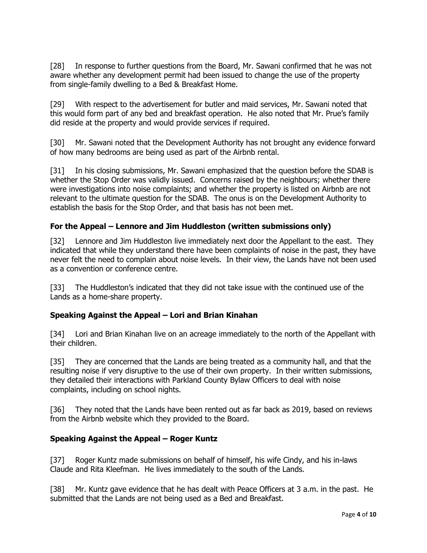[28] In response to further questions from the Board, Mr. Sawani confirmed that he was not aware whether any development permit had been issued to change the use of the property from single-family dwelling to a Bed & Breakfast Home.

[29] With respect to the advertisement for butler and maid services, Mr. Sawani noted that this would form part of any bed and breakfast operation. He also noted that Mr. Prue's family did reside at the property and would provide services if required.

[30] Mr. Sawani noted that the Development Authority has not brought any evidence forward of how many bedrooms are being used as part of the Airbnb rental.

[31] In his closing submissions, Mr. Sawani emphasized that the question before the SDAB is whether the Stop Order was validly issued. Concerns raised by the neighbours; whether there were investigations into noise complaints; and whether the property is listed on Airbnb are not relevant to the ultimate question for the SDAB. The onus is on the Development Authority to establish the basis for the Stop Order, and that basis has not been met.

## **For the Appeal – Lennore and Jim Huddleston (written submissions only)**

[32] Lennore and Jim Huddleston live immediately next door the Appellant to the east. They indicated that while they understand there have been complaints of noise in the past, they have never felt the need to complain about noise levels. In their view, the Lands have not been used as a convention or conference centre.

[33] The Huddleston's indicated that they did not take issue with the continued use of the Lands as a home-share property.

### **Speaking Against the Appeal – Lori and Brian Kinahan**

[34] Lori and Brian Kinahan live on an acreage immediately to the north of the Appellant with their children.

[35] They are concerned that the Lands are being treated as a community hall, and that the resulting noise if very disruptive to the use of their own property. In their written submissions, they detailed their interactions with Parkland County Bylaw Officers to deal with noise complaints, including on school nights.

[36] They noted that the Lands have been rented out as far back as 2019, based on reviews from the Airbnb website which they provided to the Board.

### **Speaking Against the Appeal – Roger Kuntz**

[37] Roger Kuntz made submissions on behalf of himself, his wife Cindy, and his in-laws Claude and Rita Kleefman. He lives immediately to the south of the Lands.

[38] Mr. Kuntz gave evidence that he has dealt with Peace Officers at 3 a.m. in the past. He submitted that the Lands are not being used as a Bed and Breakfast.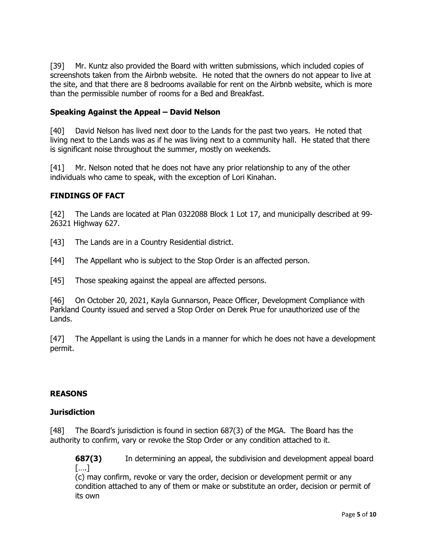[39] Mr. Kuntz also provided the Board with written submissions, which included copies of screenshots taken from the Airbnb website. He noted that the owners do not appear to live at the site, and that there are 8 bedrooms available for rent on the Airbnb website, which is more than the permissible number of rooms for a Bed and Breakfast.

# **Speaking Against the Appeal – David Nelson**

[40] David Nelson has lived next door to the Lands for the past two years. He noted that living next to the Lands was as if he was living next to a community hall. He stated that there is significant noise throughout the summer, mostly on weekends.

[41] Mr. Nelson noted that he does not have any prior relationship to any of the other individuals who came to speak, with the exception of Lori Kinahan.

## **FINDINGS OF FACT**

[42] The Lands are located at Plan 0322088 Block 1 Lot 17, and municipally described at 99- 26321 Highway 627.

- [43] The Lands are in a Country Residential district.
- [44] The Appellant who is subject to the Stop Order is an affected person.
- [45] Those speaking against the appeal are affected persons.

[46] On October 20, 2021, Kayla Gunnarson, Peace Officer, Development Compliance with Parkland County issued and served a Stop Order on Derek Prue for unauthorized use of the Lands.

[47] The Appellant is using the Lands in a manner for which he does not have a development permit.

### **REASONS**

### **Jurisdiction**

[48] The Board's jurisdiction is found in section 687(3) of the MGA. The Board has the authority to confirm, vary or revoke the Stop Order or any condition attached to it.

**687(3)** In determining an appeal, the subdivision and development appeal board [….]

(c) may confirm, revoke or vary the order, decision or development permit or any condition attached to any of them or make or substitute an order, decision or permit of its own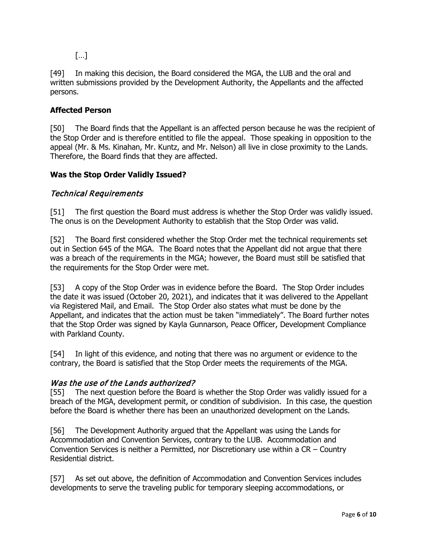[…]

[49] In making this decision, the Board considered the MGA, the LUB and the oral and written submissions provided by the Development Authority, the Appellants and the affected persons.

# **Affected Person**

[50] The Board finds that the Appellant is an affected person because he was the recipient of the Stop Order and is therefore entitled to file the appeal. Those speaking in opposition to the appeal (Mr. & Ms. Kinahan, Mr. Kuntz, and Mr. Nelson) all live in close proximity to the Lands. Therefore, the Board finds that they are affected.

# **Was the Stop Order Validly Issued?**

# Technical Requirements

[51] The first question the Board must address is whether the Stop Order was validly issued. The onus is on the Development Authority to establish that the Stop Order was valid.

[52] The Board first considered whether the Stop Order met the technical requirements set out in Section 645 of the MGA. The Board notes that the Appellant did not argue that there was a breach of the requirements in the MGA; however, the Board must still be satisfied that the requirements for the Stop Order were met.

[53] A copy of the Stop Order was in evidence before the Board. The Stop Order includes the date it was issued (October 20, 2021), and indicates that it was delivered to the Appellant via Registered Mail, and Email. The Stop Order also states what must be done by the Appellant, and indicates that the action must be taken "immediately". The Board further notes that the Stop Order was signed by Kayla Gunnarson, Peace Officer, Development Compliance with Parkland County.

[54] In light of this evidence, and noting that there was no argument or evidence to the contrary, the Board is satisfied that the Stop Order meets the requirements of the MGA.

# Was the use of the Lands authorized?

[55] The next question before the Board is whether the Stop Order was validly issued for a breach of the MGA, development permit, or condition of subdivision. In this case, the question before the Board is whether there has been an unauthorized development on the Lands.

[56] The Development Authority argued that the Appellant was using the Lands for Accommodation and Convention Services, contrary to the LUB. Accommodation and Convention Services is neither a Permitted, nor Discretionary use within a CR – Country Residential district.

[57] As set out above, the definition of Accommodation and Convention Services includes developments to serve the traveling public for temporary sleeping accommodations, or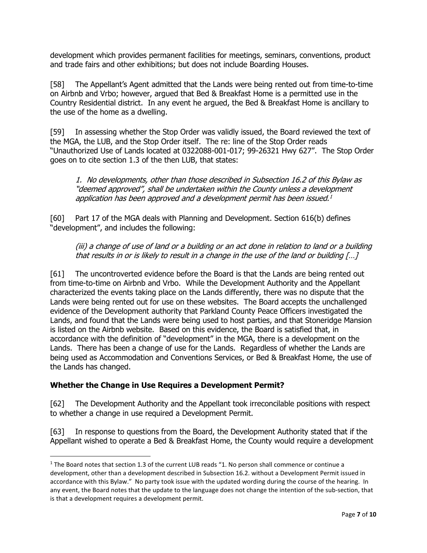development which provides permanent facilities for meetings, seminars, conventions, product and trade fairs and other exhibitions; but does not include Boarding Houses.

[58] The Appellant's Agent admitted that the Lands were being rented out from time-to-time on Airbnb and Vrbo; however, argued that Bed & Breakfast Home is a permitted use in the Country Residential district. In any event he argued, the Bed & Breakfast Home is ancillary to the use of the home as a dwelling.

[59] In assessing whether the Stop Order was validly issued, the Board reviewed the text of the MGA, the LUB, and the Stop Order itself. The re: line of the Stop Order reads "Unauthorized Use of Lands located at 0322088-001-017; 99-26321 Hwy 627". The Stop Order goes on to cite section 1.3 of the then LUB, that states:

1. No developments, other than those described in Subsection 16.2 of this Bylaw as "deemed approved", shall be undertaken within the County unless a development application has been approved and a development permit has been issued.<sup>[1](#page-6-0)</sup>

[60] Part 17 of the MGA deals with Planning and Development. Section 616(b) defines "development", and includes the following:

(iii) a change of use of land or a building or an act done in relation to land or a building that results in or is likely to result in a change in the use of the land or building […]

[61] The uncontroverted evidence before the Board is that the Lands are being rented out from time-to-time on Airbnb and Vrbo. While the Development Authority and the Appellant characterized the events taking place on the Lands differently, there was no dispute that the Lands were being rented out for use on these websites. The Board accepts the unchallenged evidence of the Development authority that Parkland County Peace Officers investigated the Lands, and found that the Lands were being used to host parties, and that Stoneridge Mansion is listed on the Airbnb website. Based on this evidence, the Board is satisfied that, in accordance with the definition of "development" in the MGA, there is a development on the Lands. There has been a change of use for the Lands. Regardless of whether the Lands are being used as Accommodation and Conventions Services, or Bed & Breakfast Home, the use of the Lands has changed.

# **Whether the Change in Use Requires a Development Permit?**

[62] The Development Authority and the Appellant took irreconcilable positions with respect to whether a change in use required a Development Permit.

[63] In response to questions from the Board, the Development Authority stated that if the Appellant wished to operate a Bed & Breakfast Home, the County would require a development

<span id="page-6-0"></span><sup>&</sup>lt;sup>1</sup> The Board notes that section 1.3 of the current LUB reads "1. No person shall commence or continue a development, other than a development described in Subsection 16.2. without a Development Permit issued in accordance with this Bylaw." No party took issue with the updated wording during the course of the hearing. In any event, the Board notes that the update to the language does not change the intention of the sub-section, that is that a development requires a development permit.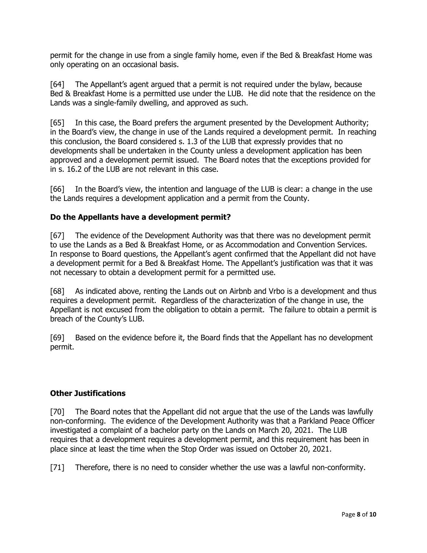permit for the change in use from a single family home, even if the Bed & Breakfast Home was only operating on an occasional basis.

[64] The Appellant's agent argued that a permit is not required under the bylaw, because Bed & Breakfast Home is a permitted use under the LUB. He did note that the residence on the Lands was a single-family dwelling, and approved as such.

[65] In this case, the Board prefers the argument presented by the Development Authority; in the Board's view, the change in use of the Lands required a development permit. In reaching this conclusion, the Board considered s. 1.3 of the LUB that expressly provides that no developments shall be undertaken in the County unless a development application has been approved and a development permit issued. The Board notes that the exceptions provided for in s. 16.2 of the LUB are not relevant in this case.

[66] In the Board's view, the intention and language of the LUB is clear: a change in the use the Lands requires a development application and a permit from the County.

# **Do the Appellants have a development permit?**

[67] The evidence of the Development Authority was that there was no development permit to use the Lands as a Bed & Breakfast Home, or as Accommodation and Convention Services. In response to Board questions, the Appellant's agent confirmed that the Appellant did not have a development permit for a Bed & Breakfast Home. The Appellant's justification was that it was not necessary to obtain a development permit for a permitted use.

[68] As indicated above, renting the Lands out on Airbnb and Vrbo is a development and thus requires a development permit. Regardless of the characterization of the change in use, the Appellant is not excused from the obligation to obtain a permit. The failure to obtain a permit is breach of the County's LUB.

[69] Based on the evidence before it, the Board finds that the Appellant has no development permit.

# **Other Justifications**

[70] The Board notes that the Appellant did not argue that the use of the Lands was lawfully non-conforming. The evidence of the Development Authority was that a Parkland Peace Officer investigated a complaint of a bachelor party on the Lands on March 20, 2021. The LUB requires that a development requires a development permit, and this requirement has been in place since at least the time when the Stop Order was issued on October 20, 2021.

[71] Therefore, there is no need to consider whether the use was a lawful non-conformity.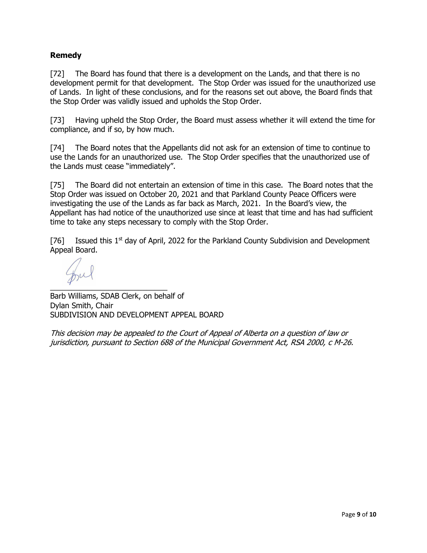# **Remedy**

[72] The Board has found that there is a development on the Lands, and that there is no development permit for that development. The Stop Order was issued for the unauthorized use of Lands. In light of these conclusions, and for the reasons set out above, the Board finds that the Stop Order was validly issued and upholds the Stop Order.

[73] Having upheld the Stop Order, the Board must assess whether it will extend the time for compliance, and if so, by how much.

[74] The Board notes that the Appellants did not ask for an extension of time to continue to use the Lands for an unauthorized use. The Stop Order specifies that the unauthorized use of the Lands must cease "immediately".

[75] The Board did not entertain an extension of time in this case. The Board notes that the Stop Order was issued on October 20, 2021 and that Parkland County Peace Officers were investigating the use of the Lands as far back as March, 2021. In the Board's view, the Appellant has had notice of the unauthorized use since at least that time and has had sufficient time to take any steps necessary to comply with the Stop Order.

[76] Issued this  $1<sup>st</sup>$  day of April, 2022 for the Parkland County Subdivision and Development Appeal Board.

 $\overline{a}$ 

Barb Williams, SDAB Clerk, on behalf of Dylan Smith, Chair SUBDIVISION AND DEVELOPMENT APPEAL BOARD

This decision may be appealed to the Court of Appeal of Alberta on a question of law or jurisdiction, pursuant to Section 688 of the Municipal Government Act, RSA 2000, c M-26.